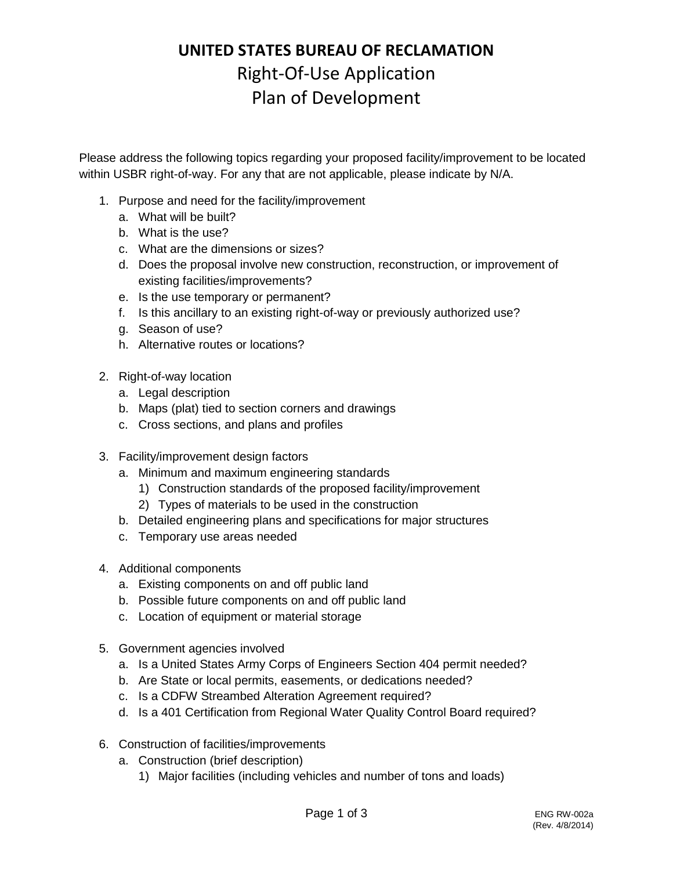## **UNITED STATES BUREAU OF RECLAMATION** Right-Of-Use Application Plan of Development

Please address the following topics regarding your proposed facility/improvement to be located within USBR right-of-way. For any that are not applicable, please indicate by N/A.

- 1. Purpose and need for the facility/improvement
	- a. What will be built?
	- b. What is the use?
	- c. What are the dimensions or sizes?
	- d. Does the proposal involve new construction, reconstruction, or improvement of existing facilities/improvements?
	- e. Is the use temporary or permanent?
	- f. Is this ancillary to an existing right-of-way or previously authorized use?
	- g. Season of use?
	- h. Alternative routes or locations?
- 2. Right-of-way location
	- a. Legal description
	- b. Maps (plat) tied to section corners and drawings
	- c. Cross sections, and plans and profiles
- 3. Facility/improvement design factors
	- a. Minimum and maximum engineering standards
		- 1) Construction standards of the proposed facility/improvement
		- 2) Types of materials to be used in the construction
	- b. Detailed engineering plans and specifications for major structures
	- c. Temporary use areas needed
- 4. Additional components
	- a. Existing components on and off public land
	- b. Possible future components on and off public land
	- c. Location of equipment or material storage
- 5. Government agencies involved
	- a. Is a United States Army Corps of Engineers Section 404 permit needed?
	- b. Are State or local permits, easements, or dedications needed?
	- c. Is a CDFW Streambed Alteration Agreement required?
	- d. Is a 401 Certification from Regional Water Quality Control Board required?
- 6. Construction of facilities/improvements
	- a. Construction (brief description)
		- 1) Major facilities (including vehicles and number of tons and loads)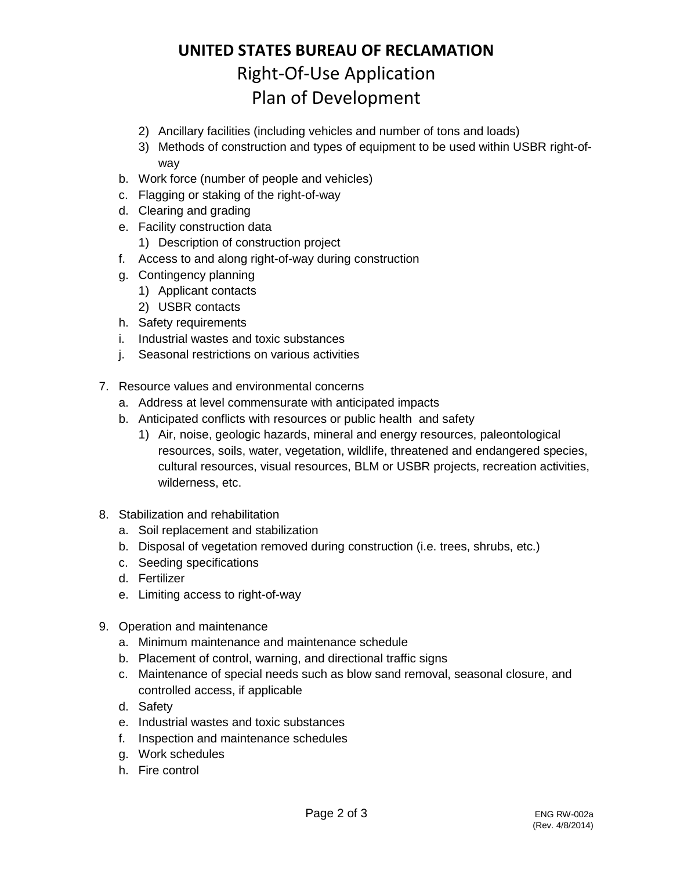## **UNITED STATES BUREAU OF RECLAMATION** Right-Of-Use Application Plan of Development

- 2) Ancillary facilities (including vehicles and number of tons and loads)
- 3) Methods of construction and types of equipment to be used within USBR right-ofway
- b. Work force (number of people and vehicles)
- c. Flagging or staking of the right-of-way
- d. Clearing and grading
- e. Facility construction data
	- 1) Description of construction project
- f. Access to and along right-of-way during construction
- g. Contingency planning
	- 1) Applicant contacts
	- 2) USBR contacts
- h. Safety requirements
- i. Industrial wastes and toxic substances
- j. Seasonal restrictions on various activities
- 7. Resource values and environmental concerns
	- a. Address at level commensurate with anticipated impacts
	- b. Anticipated conflicts with resources or public health and safety
		- 1) Air, noise, geologic hazards, mineral and energy resources, paleontological resources, soils, water, vegetation, wildlife, threatened and endangered species, cultural resources, visual resources, BLM or USBR projects, recreation activities, wilderness, etc.
- 8. Stabilization and rehabilitation
	- a. Soil replacement and stabilization
	- b. Disposal of vegetation removed during construction (i.e. trees, shrubs, etc.)
	- c. Seeding specifications
	- d. Fertilizer
	- e. Limiting access to right-of-way
- 9. Operation and maintenance
	- a. Minimum maintenance and maintenance schedule
	- b. Placement of control, warning, and directional traffic signs
	- c. Maintenance of special needs such as blow sand removal, seasonal closure, and controlled access, if applicable
	- d. Safety
	- e. Industrial wastes and toxic substances
	- f. Inspection and maintenance schedules
	- g. Work schedules
	- h. Fire control